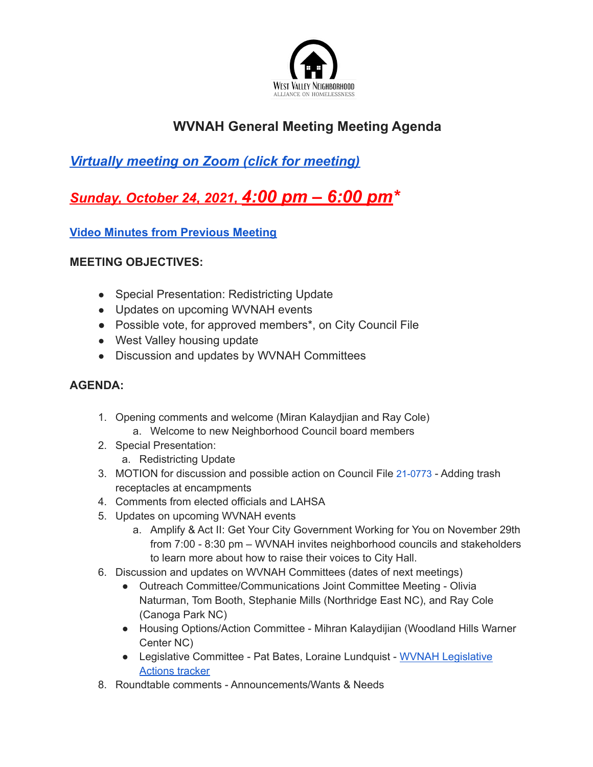

## **WVNAH General Meeting Meeting Agenda**

## *Virtually meeting on Zoom (click for meeting)*

# *Sunday, October 24, 2021, 4:00 pm – 6:00 pm\**

#### **Video Minutes from Previous Meeting**

#### **MEETING OBJECTIVES:**

- Special Presentation: Redistricting Update
- Updates on upcoming WVNAH events
- Possible vote, for approved members\*, on City Council File
- West Valley housing update
- Discussion and updates by WVNAH Committees

### **AGENDA:**

- 1. Opening comments and welcome (Miran Kalaydjian and Ray Cole) a. Welcome to new Neighborhood Council board members
- 2. Special Presentation:
	- a. Redistricting Update
- 3. MOTION for discussion and possible action on Council File 21-0773 Adding trash receptacles at encampments
- 4. Comments from elected officials and LAHSA
- 5. Updates on upcoming WVNAH events
	- a. Amplify & Act II: Get Your City Government Working for You on November 29th from 7:00 - 8:30 pm – WVNAH invites neighborhood councils and stakeholders to learn more about how to raise their voices to City Hall.
- 6. Discussion and updates on WVNAH Committees (dates of next meetings)
	- Outreach Committee/Communications Joint Committee Meeting Olivia Naturman, Tom Booth, Stephanie Mills (Northridge East NC), and Ray Cole (Canoga Park NC)
	- Housing Options/Action Committee Mihran Kalaydijian (Woodland Hills Warner Center NC)
	- Legislative Committee Pat Bates, Loraine Lundquist WVNAH Legislative Actions tracker
- 8. Roundtable comments Announcements/Wants & Needs